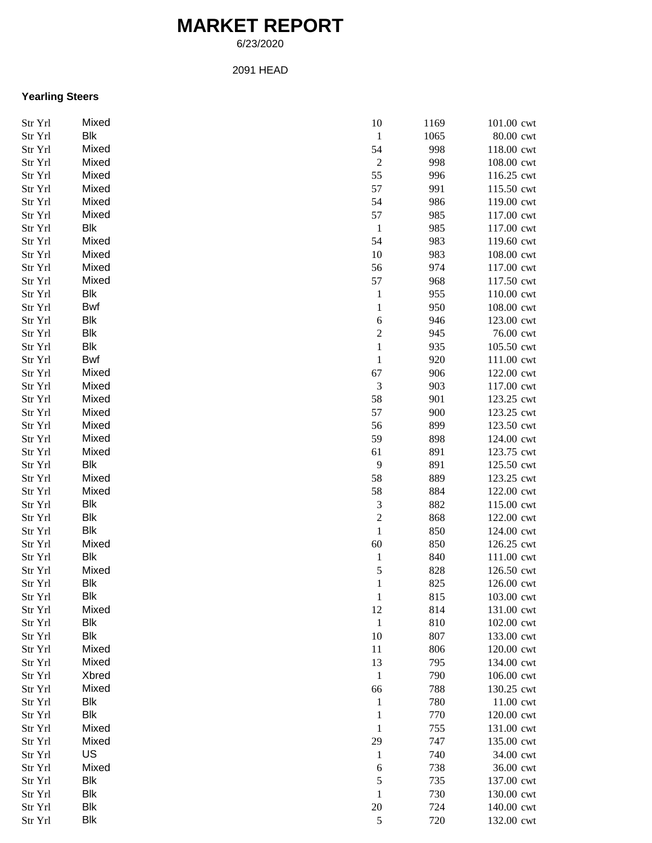# **MARKET REPORT**

6/23/2020

#### 2091 HEAD

## **Yearling Steers**

| Str Yrl | Mixed      | 10               | 1169 | 101.00 cwt |
|---------|------------|------------------|------|------------|
| Str Yrl | Blk        | $\mathbf{1}$     | 1065 | 80.00 cwt  |
| Str Yrl | Mixed      | 54               | 998  | 118.00 cwt |
| Str Yrl | Mixed      | $\boldsymbol{2}$ | 998  | 108.00 cwt |
| Str Yrl | Mixed      | 55               | 996  | 116.25 cwt |
| Str Yrl | Mixed      | 57               | 991  | 115.50 cwt |
| Str Yrl | Mixed      | 54               | 986  | 119.00 cwt |
| Str Yrl | Mixed      | 57               | 985  | 117.00 cwt |
| Str Yrl | Blk        | $\mathbf{1}$     | 985  | 117.00 cwt |
| Str Yrl | Mixed      | 54               | 983  | 119.60 cwt |
| Str Yrl | Mixed      | 10               | 983  | 108.00 cwt |
| Str Yrl | Mixed      | 56               | 974  | 117.00 cwt |
| Str Yrl | Mixed      | 57               | 968  | 117.50 cwt |
| Str Yrl | Blk        | $\mathbf{1}$     | 955  | 110.00 cwt |
|         | Bwf        | $\,1$            | 950  | 108.00 cwt |
| Str Yrl | Blk        |                  |      |            |
| Str Yrl |            | 6                | 946  | 123.00 cwt |
| Str Yrl | Blk        | $\overline{c}$   | 945  | 76.00 cwt  |
| Str Yrl | Blk        | $\,1$            | 935  | 105.50 cwt |
| Str Yrl | Bwf        | $\,1$            | 920  | 111.00 cwt |
| Str Yrl | Mixed      | 67               | 906  | 122.00 cwt |
| Str Yrl | Mixed      | 3                | 903  | 117.00 cwt |
| Str Yrl | Mixed      | 58               | 901  | 123.25 cwt |
| Str Yrl | Mixed      | 57               | 900  | 123.25 cwt |
| Str Yrl | Mixed      | 56               | 899  | 123.50 cwt |
| Str Yrl | Mixed      | 59               | 898  | 124.00 cwt |
| Str Yrl | Mixed      | 61               | 891  | 123.75 cwt |
| Str Yrl | Blk        | 9                | 891  | 125.50 cwt |
| Str Yrl | Mixed      | 58               | 889  | 123.25 cwt |
| Str Yrl | Mixed      | 58               | 884  | 122.00 cwt |
| Str Yrl | Blk        | 3                | 882  | 115.00 cwt |
| Str Yrl | Blk        | $\overline{c}$   | 868  | 122.00 cwt |
| Str Yrl | Blk        | $\,1$            | 850  | 124.00 cwt |
| Str Yrl | Mixed      | 60               | 850  | 126.25 cwt |
| Str Yrl | Blk        | $\mathbf{1}$     | 840  | 111.00 cwt |
| Str Yrl | Mixed      | 5                | 828  | 126.50 cwt |
| Str Yrl | Blk        | $\mathbf{1}$     | 825  | 126.00 cwt |
| Str Yrl | <b>Blk</b> | $\mathbf{1}$     | 815  | 103.00 cwt |
| Str Yrl | Mixed      | 12               | 814  | 131.00 cwt |
| Str Yrl | <b>Blk</b> | $\mathbf{1}$     | 810  | 102.00 cwt |
| Str Yrl | Blk        | 10               | 807  | 133.00 cwt |
| Str Yrl | Mixed      | 11               | 806  | 120.00 cwt |
| Str Yrl | Mixed      | 13               | 795  | 134.00 cwt |
| Str Yrl | Xbred      | $\mathbf{1}$     | 790  | 106.00 cwt |
| Str Yrl | Mixed      | 66               | 788  | 130.25 cwt |
| Str Yrl | Blk        | $\mathbf{1}$     | 780  | 11.00 cwt  |
| Str Yrl | Blk        | $\mathbf{1}$     | 770  | 120.00 cwt |
| Str Yrl | Mixed      | $\mathbf{1}$     | 755  | 131.00 cwt |
| Str Yrl | Mixed      | 29               | 747  | 135.00 cwt |
| Str Yrl | US         | $\mathbf{1}$     | 740  | 34.00 cwt  |
| Str Yrl | Mixed      | 6                | 738  | 36.00 cwt  |
| Str Yrl | <b>Blk</b> | 5                | 735  | 137.00 cwt |
|         | <b>Blk</b> | $\mathbf{1}$     | 730  |            |
| Str Yrl |            |                  |      | 130.00 cwt |
| Str Yrl | <b>Blk</b> | $20\,$           | 724  | 140.00 cwt |
| Str Yrl | Blk        | $\sqrt{5}$       | 720  | 132.00 cwt |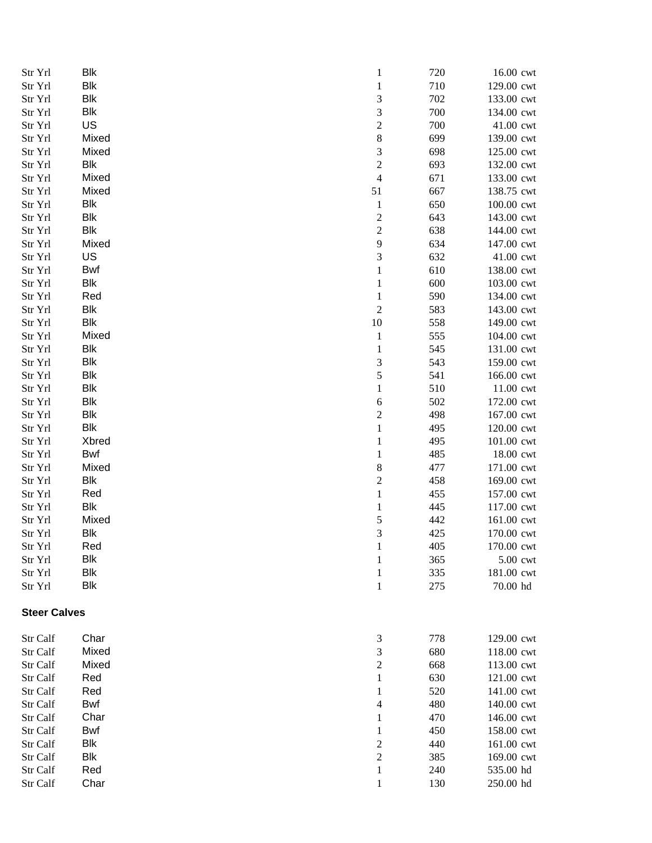| Str Yrl<br>Str Yrl  | <b>Blk</b><br><b>Blk</b> | $\mathbf{1}$<br>$\mathbf{1}$              | 720<br>710 | 16.00 cwt<br>129.00 cwt |
|---------------------|--------------------------|-------------------------------------------|------------|-------------------------|
| Str Yrl             | <b>Blk</b>               | $\sqrt{3}$                                | 702        | 133.00 cwt              |
| Str Yrl             | <b>Blk</b>               | $\sqrt{3}$                                | 700        | 134.00 cwt              |
| Str Yrl             | US                       | $\sqrt{2}$                                | 700        | 41.00 cwt               |
| Str Yrl             | Mixed                    | $\,8\,$                                   | 699        | 139.00 cwt              |
| Str Yrl             | Mixed                    | 3                                         | 698        | 125.00 cwt              |
| Str Yrl             | <b>Blk</b>               | $\overline{c}$                            | 693        | 132.00 cwt              |
| Str Yrl             | Mixed                    | $\overline{4}$                            | 671        | 133.00 cwt              |
| Str Yrl             | Mixed                    | 51                                        | 667        | 138.75 cwt              |
| Str Yrl             | <b>Blk</b>               | $\mathbf{1}$                              | 650        | 100.00 cwt              |
| Str Yrl             | Blk                      |                                           | 643        | 143.00 cwt              |
| Str Yrl             | <b>Blk</b>               | $\overline{\mathbf{c}}$<br>$\overline{c}$ | 638        | 144.00 cwt              |
|                     | Mixed                    |                                           | 634        | 147.00 cwt              |
| Str Yrl             | US                       | 9                                         |            |                         |
| Str Yrl             |                          | 3                                         | 632        | 41.00 cwt               |
| Str Yrl             | Bwf                      | $\mathbf{1}$                              | 610        | 138.00 cwt              |
| Str Yrl             | Blk                      | $\mathbf{1}$                              | 600        | 103.00 cwt              |
| Str Yrl             | Red                      | $\mathbf{1}$                              | 590        | 134.00 cwt              |
| Str Yrl             | Blk                      | $\sqrt{2}$                                | 583        | 143.00 cwt              |
| Str Yrl             | Blk                      | $10\,$                                    | 558        | 149.00 cwt              |
| Str Yrl             | Mixed                    | $\mathbf{1}$                              | 555        | 104.00 cwt              |
| Str Yrl             | <b>Blk</b>               | $\mathbf{1}$                              | 545        | 131.00 cwt              |
| Str Yrl             | <b>Blk</b>               | 3                                         | 543        | 159.00 cwt              |
| Str Yrl             | <b>Blk</b>               | 5                                         | 541        | 166.00 cwt              |
| Str Yrl             | <b>Blk</b>               | $\mathbf{1}$                              | 510        | 11.00 cwt               |
| Str Yrl             | <b>Blk</b>               | $\sqrt{6}$                                | 502        | 172.00 cwt              |
| Str Yrl             | <b>Blk</b>               | $\overline{\mathbf{c}}$                   | 498        | 167.00 cwt              |
| Str Yrl             | Blk                      | $\mathbf{1}$                              | 495        | 120.00 cwt              |
| Str Yrl             | Xbred                    | $\mathbf{1}$                              | 495        | 101.00 cwt              |
| Str Yrl             | Bwf                      | $\mathbf{1}$                              | 485        | 18.00 cwt               |
| Str Yrl             | Mixed                    | 8                                         | 477        | 171.00 cwt              |
| Str Yrl             | <b>Blk</b>               | $\overline{\mathbf{c}}$                   | 458        | 169.00 cwt              |
| Str Yrl             | Red                      | $\mathbf{1}$                              | 455        | 157.00 cwt              |
| Str Yrl             | <b>Blk</b>               | $\mathbf{1}$                              | 445        | 117.00 cwt              |
| Str Yrl             | Mixed                    | 5                                         | 442        | 161.00 cwt              |
| Str Yrl             | <b>Blk</b>               | 3                                         | 425        | 170.00 cwt              |
| Str Yrl             | Red                      | $\mathbf{1}$                              | 405        | 170.00 cwt              |
| Str Yrl             | Blk                      | $\mathbf{1}$                              | 365        | 5.00 cwt                |
| Str Yrl             | <b>Blk</b>               | $\mathbf{1}$                              | 335        | 181.00 cwt              |
| Str Yrl             | <b>Blk</b>               | $\mathbf{1}$                              | 275        | 70.00 hd                |
| <b>Steer Calves</b> |                          |                                           |            |                         |
| Str Calf            | Char                     | 3                                         | 778        | 129.00 cwt              |
| Str Calf            | Mixed                    | 3                                         | 680        | 118.00 cwt              |
| Str Calf            | Mixed                    | $\boldsymbol{2}$                          | 668        | 113.00 cwt              |
| Str Calf            | Red                      | $\mathbf{1}$                              | 630        | 121.00 cwt              |
| Str Calf            | Red                      | $\mathbf{1}$                              | 520        | 141.00 cwt              |
| Str Calf            | Bwf                      | $\overline{4}$                            | 480        | 140.00 cwt              |
| Str Calf            | Char                     | $\mathbf{1}$                              | 470        | 146.00 cwt              |
| Str Calf            | Bwf                      | $\mathbf{1}$                              | 450        | 158.00 cwt              |
| Str Calf            | Blk                      | $\overline{\mathbf{c}}$                   | 440        | 161.00 cwt              |
| Str Calf            | Blk                      | $\overline{c}$                            | 385        | 169.00 cwt              |
| Str Calf            | Red                      | $\mathbf{1}$                              | 240        | 535.00 hd               |
| Str Calf            | Char                     | $\mathbf{1}$                              | 130        | 250.00 hd               |
|                     |                          |                                           |            |                         |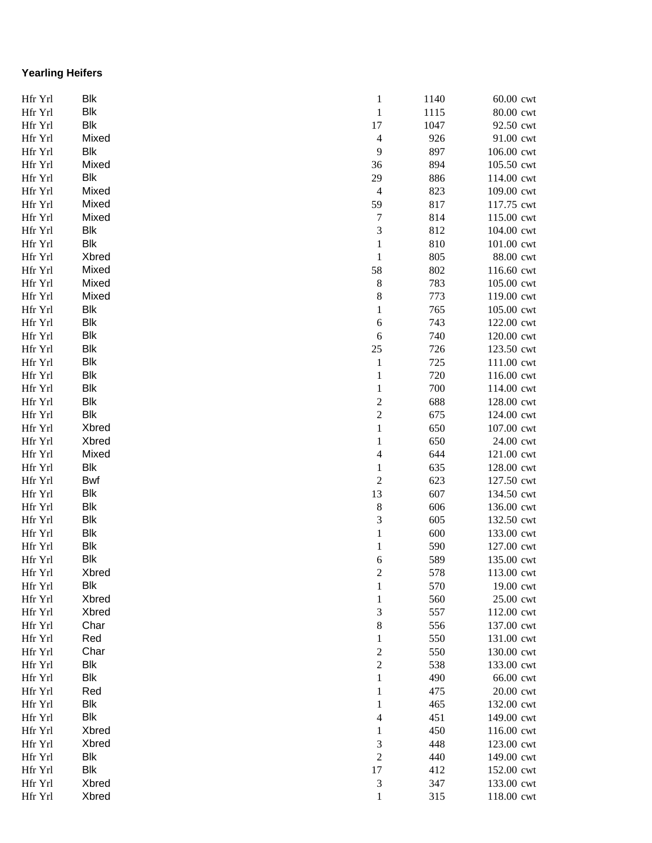## **Yearling Heifers**

| Hfr Yrl | <b>Blk</b> | $\mathbf{1}$            | 1140 | 60.00 cwt  |
|---------|------------|-------------------------|------|------------|
| Hfr Yrl | <b>Blk</b> | $\mathbf{1}$            | 1115 | 80.00 cwt  |
| Hfr Yrl | <b>Blk</b> | 17                      | 1047 | 92.50 cwt  |
| Hfr Yrl | Mixed      | $\overline{4}$          | 926  | 91.00 cwt  |
| Hfr Yrl | Blk        | 9                       | 897  | 106.00 cwt |
| Hfr Yrl | Mixed      | 36                      | 894  | 105.50 cwt |
| Hfr Yrl | <b>Blk</b> | 29                      | 886  | 114.00 cwt |
| Hfr Yrl | Mixed      | $\overline{4}$          | 823  | 109.00 cwt |
| Hfr Yrl | Mixed      | 59                      | 817  | 117.75 cwt |
| Hfr Yrl | Mixed      | $\overline{7}$          | 814  | 115.00 cwt |
| Hfr Yrl | <b>Blk</b> | 3                       | 812  | 104.00 cwt |
| Hfr Yrl | <b>Blk</b> | $\mathbf{1}$            | 810  | 101.00 cwt |
| Hfr Yrl | Xbred      | $\mathbf{1}$            | 805  | 88.00 cwt  |
| Hfr Yrl | Mixed      | 58                      | 802  | 116.60 cwt |
| Hfr Yrl | Mixed      | $\,$ 8 $\,$             | 783  | 105.00 cwt |
| Hfr Yrl | Mixed      | $\,$ 8 $\,$             | 773  | 119.00 cwt |
| Hfr Yrl | Blk        | $\mathbf{1}$            | 765  | 105.00 cwt |
| Hfr Yrl | <b>Blk</b> | $\sqrt{6}$              | 743  | 122.00 cwt |
| Hfr Yrl | <b>Blk</b> | 6                       | 740  | 120.00 cwt |
| Hfr Yrl | <b>Blk</b> | $25\,$                  | 726  | 123.50 cwt |
| Hfr Yrl | <b>Blk</b> | $\mathbf{1}$            | 725  | 111.00 cwt |
| Hfr Yrl | <b>Blk</b> | $\mathbf{1}$            | 720  | 116.00 cwt |
| Hfr Yrl | <b>Blk</b> | $\mathbf{1}$            | 700  | 114.00 cwt |
| Hfr Yrl | <b>Blk</b> | $\overline{\mathbf{c}}$ | 688  | 128.00 cwt |
| Hfr Yrl | <b>Blk</b> | $\overline{\mathbf{c}}$ | 675  | 124.00 cwt |
| Hfr Yrl | Xbred      | $\mathbf{1}$            | 650  | 107.00 cwt |
| Hfr Yrl | Xbred      | $\mathbf{1}$            | 650  | 24.00 cwt  |
| Hfr Yrl | Mixed      | $\overline{4}$          | 644  | 121.00 cwt |
| Hfr Yrl | <b>Blk</b> | $\mathbf{1}$            | 635  | 128.00 cwt |
| Hfr Yrl | Bwf        | $\boldsymbol{2}$        | 623  | 127.50 cwt |
| Hfr Yrl | <b>Blk</b> | 13                      | 607  | 134.50 cwt |
| Hfr Yrl | <b>Blk</b> | $\,8\,$                 | 606  | 136.00 cwt |
| Hfr Yrl | <b>Blk</b> | 3                       | 605  | 132.50 cwt |
| Hfr Yrl | <b>Blk</b> | $\mathbf{1}$            | 600  | 133.00 cwt |
| Hfr Yrl | <b>Blk</b> | $\mathbf{1}$            | 590  | 127.00 cwt |
| Hfr Yrl | <b>Blk</b> | 6                       | 589  | 135.00 cwt |
| Hfr Yrl | Xbred      | $\overline{\mathbf{c}}$ | 578  | 113.00 cwt |
| Hfr Yrl | Blk        | $\mathbf{1}$            | 570  | 19.00 cwt  |
| Hfr Yrl | Xbred      | $\mathbf{1}$            | 560  | 25.00 cwt  |
| Hfr Yrl | Xbred      | 3                       | 557  | 112.00 cwt |
| Hfr Yrl | Char       | $\,$ 8 $\,$             | 556  | 137.00 cwt |
| Hfr Yrl | Red        | $\mathbf{1}$            | 550  | 131.00 cwt |
| Hfr Yrl | Char       | $\overline{\mathbf{c}}$ | 550  | 130.00 cwt |
| Hfr Yrl | <b>Blk</b> | $\overline{\mathbf{c}}$ | 538  | 133.00 cwt |
| Hfr Yrl | Blk        | $\mathbf{1}$            | 490  | 66.00 cwt  |
| Hfr Yrl | Red        | $\mathbf{1}$            | 475  | 20.00 cwt  |
| Hfr Yrl | <b>Blk</b> | $\mathbf{1}$            | 465  | 132.00 cwt |
| Hfr Yrl | <b>Blk</b> | $\overline{4}$          | 451  | 149.00 cwt |
| Hfr Yrl | Xbred      | $\mathbf{1}$            | 450  | 116.00 cwt |
| Hfr Yrl | Xbred      | 3                       | 448  | 123.00 cwt |
| Hfr Yrl | <b>Blk</b> | $\sqrt{2}$              | 440  | 149.00 cwt |
| Hfr Yrl | <b>Blk</b> | 17                      | 412  | 152.00 cwt |
| Hfr Yrl | Xbred      | 3                       | 347  | 133.00 cwt |
| Hfr Yrl | Xbred      | $\mathbf{1}$            | 315  | 118.00 cwt |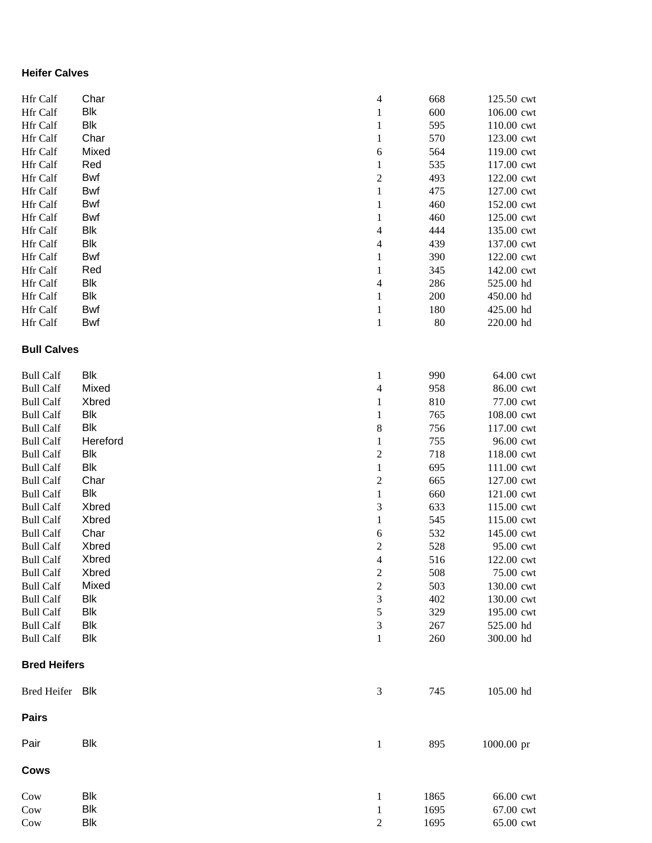#### **Heifer Calves**

| Hfr Calf            | Char        | $\overline{4}$           | 668  | 125.50 cwt |
|---------------------|-------------|--------------------------|------|------------|
| Hfr Calf            | <b>Blk</b>  | $\mathbf{1}$             | 600  | 106.00 cwt |
| Hfr Calf            | <b>Blk</b>  | $\mathbf{1}$             | 595  | 110.00 cwt |
| Hfr Calf            | Char        | $\mathbf{1}$             | 570  | 123.00 cwt |
| Hfr Calf            | Mixed       | 6                        | 564  | 119.00 cwt |
| Hfr Calf            | Red         | $\mathbf{1}$             | 535  | 117.00 cwt |
| Hfr Calf            | Bwf         | $\overline{\mathbf{c}}$  | 493  | 122.00 cwt |
| Hfr Calf            | Bwf         | $\mathbf{1}$             | 475  | 127.00 cwt |
| Hfr Calf            | Bwf         | $\mathbf{1}$             | 460  | 152.00 cwt |
| Hfr Calf            | Bwf         | $\mathbf{1}$             | 460  | 125.00 cwt |
| Hfr Calf            | <b>Blk</b>  | $\overline{\mathcal{A}}$ | 444  | 135.00 cwt |
| Hfr Calf            | <b>Blk</b>  | $\overline{\mathcal{A}}$ | 439  | 137.00 cwt |
| Hfr Calf            | Bwf         | $\mathbf{1}$             | 390  | 122.00 cwt |
| Hfr Calf            | Red         | $\mathbf{1}$             | 345  | 142.00 cwt |
| Hfr Calf            | <b>Blk</b>  | $\overline{\mathcal{A}}$ | 286  | 525.00 hd  |
| Hfr Calf            | <b>Blk</b>  | $\mathbf{1}$             | 200  | 450.00 hd  |
| Hfr Calf            | Bwf         | $\mathbf{1}$             | 180  | 425.00 hd  |
| Hfr Calf            | Bwf         | $\mathbf{1}$             | 80   | 220.00 hd  |
|                     |             |                          |      |            |
| <b>Bull Calves</b>  |             |                          |      |            |
| <b>Bull Calf</b>    | <b>Blk</b>  | 1                        | 990  | 64.00 cwt  |
| <b>Bull Calf</b>    | Mixed       | $\overline{\mathcal{A}}$ | 958  | 86.00 cwt  |
| <b>Bull Calf</b>    | Xbred       | $\mathbf{1}$             | 810  | 77.00 cwt  |
| <b>Bull Calf</b>    | <b>Blk</b>  | $\mathbf{1}$             | 765  | 108.00 cwt |
| <b>Bull Calf</b>    | <b>Blk</b>  | 8                        | 756  | 117.00 cwt |
| <b>Bull Calf</b>    | Hereford    | $\mathbf{1}$             | 755  | 96.00 cwt  |
| <b>Bull Calf</b>    | <b>Blk</b>  | $\overline{\mathbf{c}}$  | 718  | 118.00 cwt |
| <b>Bull Calf</b>    | <b>Blk</b>  | $\mathbf 1$              | 695  | 111.00 cwt |
| <b>Bull Calf</b>    | Char        | $\overline{c}$           | 665  | 127.00 cwt |
| <b>Bull Calf</b>    | <b>Blk</b>  | $\mathbf{1}$             | 660  | 121.00 cwt |
| <b>Bull Calf</b>    | Xbred       | 3                        | 633  | 115.00 cwt |
| <b>Bull Calf</b>    | Xbred       | $\mathbf{1}$             | 545  | 115.00 cwt |
| <b>Bull Calf</b>    | Char        | 6                        | 532  | 145.00 cwt |
| <b>Bull Calf</b>    | Xbred       | $\overline{\mathbf{c}}$  | 528  | 95.00 cwt  |
| <b>Bull Calf</b>    | Xbred       | 4                        | 516  | 122.00 cwt |
| <b>Bull Calf</b>    | Xbred       | $\overline{\mathbf{c}}$  | 508  | 75.00 cwt  |
| <b>Bull Calf</b>    | Mixed       | $\overline{c}$           | 503  | 130.00 cwt |
| <b>Bull Calf</b>    | <b>Blk</b>  | 3                        | 402  | 130.00 cwt |
| <b>Bull Calf</b>    | <b>Blk</b>  | 5                        | 329  | 195.00 cwt |
| <b>Bull Calf</b>    | <b>Blk</b>  | 3                        | 267  | 525.00 hd  |
| <b>Bull Calf</b>    | <b>Blk</b>  | $\mathbf{1}$             | 260  | 300.00 hd  |
| <b>Bred Heifers</b> |             |                          |      |            |
|                     |             |                          |      |            |
| <b>Bred Heifer</b>  | Blk         | $\mathfrak{Z}$           | 745  | 105.00 hd  |
| <b>Pairs</b>        |             |                          |      |            |
| Pair                | <b>Blk</b>  | $\mathbf{1}$             | 895  | 1000.00 pr |
| <b>Cows</b>         |             |                          |      |            |
| Cow                 | <b>Blk</b>  | 1                        | 1865 | 66.00 cwt  |
| Cow                 | Blk         | $\mathbf{1}$             | 1695 | 67.00 cwt  |
| Cow                 | ${\sf Blk}$ | 2                        | 1695 | 65.00 cwt  |
|                     |             |                          |      |            |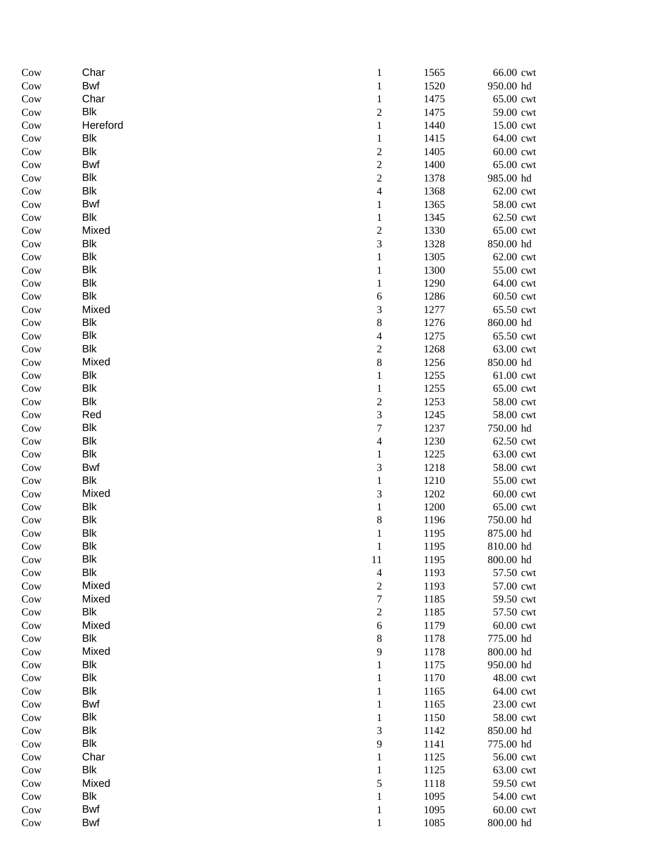| Cow        | Char                | $\mathbf{1}$             | 1565         | 66.00 cwt              |
|------------|---------------------|--------------------------|--------------|------------------------|
| Cow        | Bwf                 | $\mathbf{1}$             | 1520         | 950.00 hd              |
| Cow        | Char                | $\mathbf{1}$             | 1475         | 65.00 cwt              |
| Cow        | <b>Blk</b>          | $\boldsymbol{2}$         | 1475         | 59.00 cwt              |
| Cow        | Hereford            | $\,1\,$                  | 1440         | 15.00 cwt              |
| Cow        | Blk                 | $\mathbf{1}$             | 1415         | 64.00 cwt              |
| Cow        | Blk                 | $\sqrt{2}$               | 1405         | 60.00 cwt              |
| Cow        | Bwf                 | $\overline{c}$           | 1400         | 65.00 cwt              |
| Cow        | Blk                 | $\overline{c}$           | 1378         | 985.00 hd              |
| Cow        | Blk                 | $\overline{\mathcal{L}}$ | 1368         | 62.00 cwt              |
| Cow        | Bwf                 | $\mathbf{1}$             | 1365         | 58.00 cwt              |
| Cow        | Blk                 | $\mathbf{1}$             | 1345         | 62.50 cwt              |
| Cow        | Mixed               | $\overline{c}$           | 1330         | 65.00 cwt              |
| Cow        | Blk                 | 3                        | 1328         | 850.00 hd              |
| Cow        | <b>Blk</b>          | $\,1\,$                  | 1305         | 62.00 cwt              |
| Cow        | Blk                 | $\mathbf{1}$             | 1300         | 55.00 cwt              |
| Cow        | <b>Blk</b>          | $\mathbf{1}$             | 1290         | 64.00 cwt              |
| Cow        | <b>Blk</b>          | 6                        | 1286         | 60.50 cwt              |
| Cow        | Mixed               | $\mathfrak{Z}$           | 1277         | 65.50 cwt              |
| Cow        | <b>Blk</b>          | $\,8$                    | 1276         | 860.00 hd              |
| Cow        | <b>Blk</b>          | $\overline{4}$           | 1275         | 65.50 cwt              |
| Cow        | <b>Blk</b>          | $\overline{c}$           | 1268         | 63.00 cwt              |
| Cow        | Mixed               | $\,8$                    | 1256         | 850.00 hd              |
| Cow        | Blk                 | $\mathbf{1}$             | 1255         | 61.00 cwt              |
| Cow        | Blk                 | $\mathbf{1}$             | 1255         | 65.00 cwt              |
| Cow        | <b>Blk</b>          | $\overline{c}$           | 1253         | 58.00 cwt              |
| Cow        | Red                 | $\mathfrak{Z}$           | 1245         | 58.00 cwt              |
| Cow        | <b>Blk</b>          | $\boldsymbol{7}$         | 1237         | 750.00 hd              |
| Cow        | <b>Blk</b>          | $\overline{4}$           | 1230         | 62.50 cwt              |
| Cow        | <b>Blk</b>          | $\,1\,$                  | 1225         | 63.00 cwt              |
| Cow        | Bwf                 | $\mathfrak{Z}$           | 1218         | 58.00 cwt              |
| Cow        | <b>Blk</b>          | $\,1\,$                  | 1210         | 55.00 cwt              |
| Cow        | Mixed               | $\mathfrak{Z}$           | 1202         | 60.00 cwt              |
| Cow        | <b>Blk</b>          | $\mathbf{1}$             | 1200         | 65.00 cwt              |
| Cow        | <b>Blk</b>          | $\,$ 8 $\,$              | 1196         | 750.00 hd              |
| Cow        | <b>Blk</b>          | $\mathbf{1}$             | 1195         | 875.00 hd              |
| Cow        | <b>Blk</b>          | 1                        | 1195         | 810.00 hd              |
| Cow        | <b>Blk</b>          | 11                       | 1195         | 800.00 hd              |
| Cow        | <b>Blk</b>          | $\overline{4}$           | 1193         | 57.50 cwt              |
| Cow        | Mixed               | $\sqrt{2}$               | 1193         | 57.00 cwt              |
| Cow        | Mixed               | $\boldsymbol{7}$         | 1185         | 59.50 cwt              |
| Cow        | <b>Blk</b><br>Mixed | $\sqrt{2}$               | 1185<br>1179 | 57.50 cwt<br>60.00 cwt |
| Cow        | <b>Blk</b>          | 6<br>$\,$ 8 $\,$         | 1178         | 775.00 hd              |
| Cow<br>Cow | Mixed               | 9                        | 1178         | 800.00 hd              |
| Cow        | <b>Blk</b>          | $\mathbf{1}$             | 1175         | 950.00 hd              |
| Cow        | <b>Blk</b>          | $\mathbf{1}$             | 1170         | 48.00 cwt              |
| Cow        | <b>Blk</b>          | $\mathbf{1}$             | 1165         | 64.00 cwt              |
| Cow        | Bwf                 | $\mathbf{1}$             | 1165         | 23.00 cwt              |
| Cow        | <b>Blk</b>          | $\mathbf{1}$             | 1150         | 58.00 cwt              |
| Cow        | <b>Blk</b>          | $\mathfrak{Z}$           | 1142         | 850.00 hd              |
| Cow        | <b>Blk</b>          | 9                        | 1141         | 775.00 hd              |
| Cow        | Char                | $\mathbf{1}$             | 1125         | 56.00 cwt              |
| Cow        | <b>Blk</b>          | 1                        | 1125         | 63.00 cwt              |
| Cow        | Mixed               | 5                        | 1118         | 59.50 cwt              |
| Cow        | Blk                 | $\mathbf{1}$             | 1095         | 54.00 cwt              |
| Cow        | Bwf                 | $\mathbf{1}$             | 1095         | 60.00 cwt              |
| Cow        | Bwf                 | $\mathbf{1}$             | 1085         | 800.00 hd              |
|            |                     |                          |              |                        |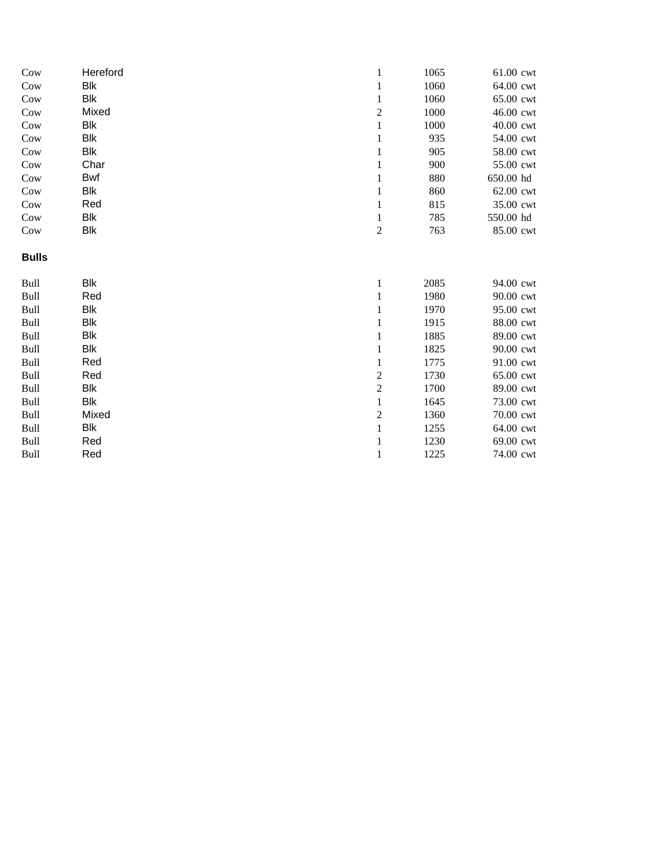| Cow          | Hereford   | $\mathbf{1}$     | 1065 | 61.00 cwt |
|--------------|------------|------------------|------|-----------|
| Cow          | Blk        | $\mathbf{1}$     | 1060 | 64.00 cwt |
| Cow          | <b>Blk</b> | $\,1\,$          | 1060 | 65.00 cwt |
| Cow          | Mixed      | $\boldsymbol{2}$ | 1000 | 46.00 cwt |
| Cow          | <b>Blk</b> | $\,1$            | 1000 | 40.00 cwt |
| Cow          | <b>Blk</b> | $\mathbf{1}$     | 935  | 54.00 cwt |
| Cow          | <b>Blk</b> | $\mathbf{1}$     | 905  | 58.00 cwt |
| Cow          | Char       | $\mathbf{1}$     | 900  | 55.00 cwt |
| Cow          | Bwf        | $\mathbf{1}$     | 880  | 650.00 hd |
| Cow          | Blk        | $\mathbf{1}$     | 860  | 62.00 cwt |
| Cow          | Red        | $\mathbf{1}$     | 815  | 35.00 cwt |
| Cow          | <b>Blk</b> | $\mathbf{1}$     | 785  | 550.00 hd |
| Cow          | Blk        | $\boldsymbol{2}$ | 763  | 85.00 cwt |
| <b>Bulls</b> |            |                  |      |           |
| Bull         | <b>Blk</b> | $\mathbf{1}$     | 2085 | 94.00 cwt |
| Bull         | Red        | $\mathbf{1}$     | 1980 | 90.00 cwt |
| Bull         | <b>Blk</b> | $\mathbf{1}$     | 1970 | 95.00 cwt |
| Bull         | Blk        | $\mathbf{1}$     | 1915 | 88.00 cwt |
| Bull         | <b>Blk</b> | 1                | 1885 | 89.00 cwt |
| Bull         | <b>Blk</b> | $\mathbf{1}$     | 1825 | 90.00 cwt |
| <b>Bull</b>  | Red        | 1                | 1775 | 91.00 cwt |
| Bull         | Red        | $\sqrt{2}$       | 1730 | 65.00 cwt |
| Bull         | <b>Blk</b> | $\overline{c}$   | 1700 | 89.00 cwt |
| Bull         | <b>Blk</b> | $\,1\,$          | 1645 | 73.00 cwt |
| Bull         | Mixed      | $\overline{c}$   | 1360 | 70.00 cwt |
| Bull         | Blk        | $\mathbf{1}$     | 1255 | 64.00 cwt |
| Bull         | Red        | 1                | 1230 | 69.00 cwt |
| Bull         | Red        | 1                | 1225 | 74.00 cwt |